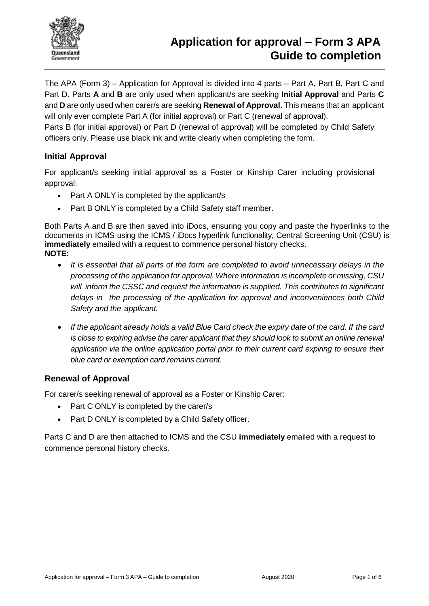

The APA (Form 3) – Application for Approval is divided into 4 parts – Part A, Part B, Part C and Part D. Parts **A** and **B** are only used when applicant/s are seeking **Initial Approval** and Parts **C** and **D** are only used when carer/s are seeking **Renewal of Approval.** This means that an applicant will only ever complete Part A (for initial approval) or Part C (renewal of approval).

Parts B (for initial approval) or Part D (renewal of approval) will be completed by Child Safety officers only. Please use black ink and write clearly when completing the form.

# **Initial Approval**

For applicant/s seeking initial approval as a Foster or Kinship Carer including provisional approval:

- Part A ONLY is completed by the applicant/s
- Part B ONLY is completed by a Child Safety staff member.

Both Parts A and B are then saved into iDocs, ensuring you copy and paste the hyperlinks to the documents in ICMS using the ICMS / iDocs hyperlink functionality, Central Screening Unit (CSU) is **immediately** emailed with a request to commence personal history checks. **NOTE:**

- *It is essential that all parts of the form are completed to avoid unnecessary delays in the processing of the application for approval. Where information is incomplete or missing, CSU will inform the CSSC and request the information is supplied. This contributes to significant delays in the processing of the application for approval and inconveniences both Child Safety and the applicant.*
- If the applicant already holds a valid Blue Card check the expiry date of the card. If the card *is close to expiring advise the carer applicant that they should look to submit an online renewal application via the online application portal prior to their current card expiring to ensure their blue card or exemption card remains current.*

# **Renewal of Approval**

For carer/s seeking renewal of approval as a Foster or Kinship Carer:

- Part C ONLY is completed by the carer/s
- Part D ONLY is completed by a Child Safety officer.

Parts C and D are then attached to ICMS and the CSU **immediately** emailed with a request to commence personal history checks.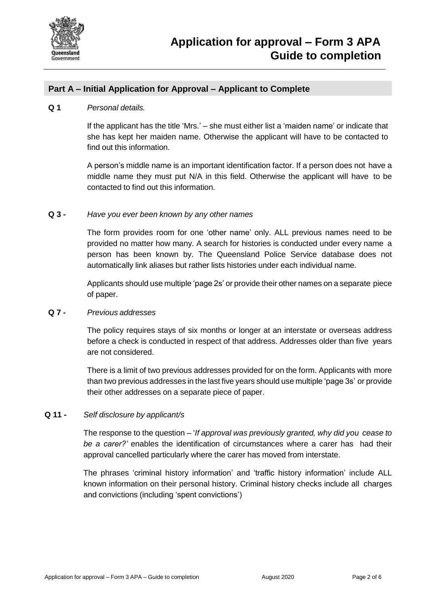

# **Part A – Initial Application for Approval – Applicant to Complete**

### **Q 1** *Personal details.*

If the applicant has the title 'Mrs.' – she must either list a 'maiden name' or indicate that she has kept her maiden name. Otherwise the applicant will have to be contacted to find out this information.

A person's middle name is an important identification factor. If a person does not have a middle name they must put N/A in this field. Otherwise the applicant will have to be contacted to find out this information.

## **Q 3 -** *Have you ever been known by any other names*

The form provides room for one 'other name' only. ALL previous names need to be provided no matter how many. A search for histories is conducted under every name a person has been known by. The Queensland Police Service database does not automatically link aliases but rather lists histories under each individual name.

Applicants should use multiple 'page 2s' or provide their other names on a separate piece of paper.

## **Q 7 -** *Previous addresses*

The policy requires stays of six months or longer at an interstate or overseas address before a check is conducted in respect of that address. Addresses older than five years are not considered.

There is a limit of two previous addresses provided for on the form. Applicants with more than two previous addresses in the last five years should use multiple 'page 3s' or provide their other addresses on a separate piece of paper.

## **Q 11 -** *Self disclosure by applicant/s*

The response to the question – '*If approval was previously granted, why did you cease to be a carer?'* enables the identification of circumstances where a carer has had their approval cancelled particularly where the carer has moved from interstate.

The phrases 'criminal history information' and 'traffic history information' include ALL known information on their personal history. Criminal history checks include all charges and convictions (including 'spent convictions')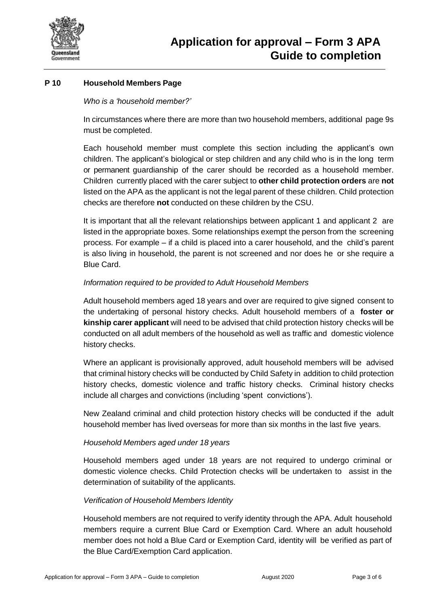

# **P 10 Household Members Page**

# *Who is a 'household member?'*

In circumstances where there are more than two household members, additional page 9s must be completed.

Each household member must complete this section including the applicant's own children. The applicant's biological or step children and any child who is in the long term or permanent guardianship of the carer should be recorded as a household member. Children currently placed with the carer subject to **other child protection orders** are **not** listed on the APA as the applicant is not the legal parent of these children. Child protection checks are therefore **not** conducted on these children by the CSU.

It is important that all the relevant relationships between applicant 1 and applicant 2 are listed in the appropriate boxes. Some relationships exempt the person from the screening process. For example – if a child is placed into a carer household, and the child's parent is also living in household, the parent is not screened and nor does he or she require a Blue Card.

# *Information required to be provided to Adult Household Members*

Adult household members aged 18 years and over are required to give signed consent to the undertaking of personal history checks. Adult household members of a **foster or kinship carer applicant** will need to be advised that child protection history checks will be conducted on all adult members of the household as well as traffic and domestic violence history checks.

Where an applicant is provisionally approved, adult household members will be advised that criminal history checks will be conducted by Child Safety in addition to child protection history checks, domestic violence and traffic history checks. Criminal history checks include all charges and convictions (including 'spent convictions').

New Zealand criminal and child protection history checks will be conducted if the adult household member has lived overseas for more than six months in the last five years.

## *Household Members aged under 18 years*

Household members aged under 18 years are not required to undergo criminal or domestic violence checks. Child Protection checks will be undertaken to assist in the determination of suitability of the applicants.

## *Verification of Household Members Identity*

Household members are not required to verify identity through the APA. Adult household members require a current Blue Card or Exemption Card. Where an adult household member does not hold a Blue Card or Exemption Card, identity will be verified as part of the Blue Card/Exemption Card application.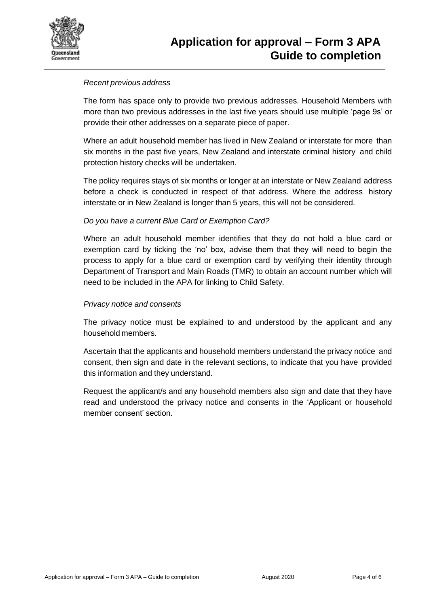

# *Recent previous address*

The form has space only to provide two previous addresses. Household Members with more than two previous addresses in the last five years should use multiple 'page 9s' or provide their other addresses on a separate piece of paper.

Where an adult household member has lived in New Zealand or interstate for more than six months in the past five years, New Zealand and interstate criminal history and child protection history checks will be undertaken.

The policy requires stays of six months or longer at an interstate or New Zealand address before a check is conducted in respect of that address. Where the address history interstate or in New Zealand is longer than 5 years, this will not be considered.

# *Do you have a current Blue Card or Exemption Card?*

Where an adult household member identifies that they do not hold a blue card or exemption card by ticking the 'no' box, advise them that they will need to begin the process to apply for a blue card or exemption card by verifying their identity through Department of Transport and Main Roads (TMR) to obtain an account number which will need to be included in the APA for linking to Child Safety.

## *Privacy notice and consents*

The privacy notice must be explained to and understood by the applicant and any household members.

Ascertain that the applicants and household members understand the privacy notice and consent, then sign and date in the relevant sections, to indicate that you have provided this information and they understand.

Request the applicant/s and any household members also sign and date that they have read and understood the privacy notice and consents in the 'Applicant or household member consent' section.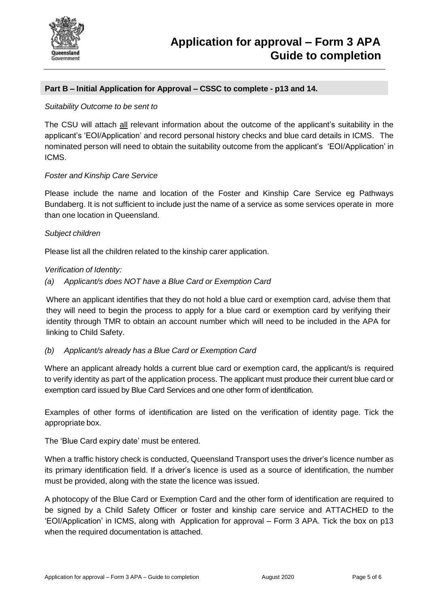

# **Part B – Initial Application for Approval – CSSC to complete - p13 and 14.**

### *Suitability Outcome to be sent to*

The CSU will attach all relevant information about the outcome of the applicant's suitability in the applicant's 'EOI/Application' and record personal history checks and blue card details in ICMS. The nominated person will need to obtain the suitability outcome from the applicant's 'EOI/Application' in ICMS.

#### *Foster and Kinship Care Service*

Please include the name and location of the Foster and Kinship Care Service eg Pathways Bundaberg. It is not sufficient to include just the name of a service as some services operate in more than one location in Queensland.

#### *Subject children*

Please list all the children related to the kinship carer application.

#### *Verification of Identity:*

#### *(a) Applicant/s does NOT have a Blue Card or Exemption Card*

Where an applicant identifies that they do not hold a blue card or exemption card, advise them that they will need to begin the process to apply for a blue card or exemption card by verifying their identity through TMR to obtain an account number which will need to be included in the APA for linking to Child Safety.

## *(b) Applicant/s already has a Blue Card or Exemption Card*

Where an applicant already holds a current blue card or exemption card, the applicant/s is required to verify identity as part of the application process. The applicant must produce their current blue card or exemption card issued by Blue Card Services and one other form of identification.

Examples of other forms of identification are listed on the verification of identity page. Tick the appropriate box.

The 'Blue Card expiry date' must be entered.

When a traffic history check is conducted, Queensland Transport uses the driver's licence number as its primary identification field. If a driver's licence is used as a source of identification, the number must be provided, along with the state the licence was issued.

A photocopy of the Blue Card or Exemption Card and the other form of identification are required to be signed by a Child Safety Officer or foster and kinship care service and ATTACHED to the 'EOI/Application' in ICMS, along with Application for approval – Form 3 APA. Tick the box on p13 when the required documentation is attached.